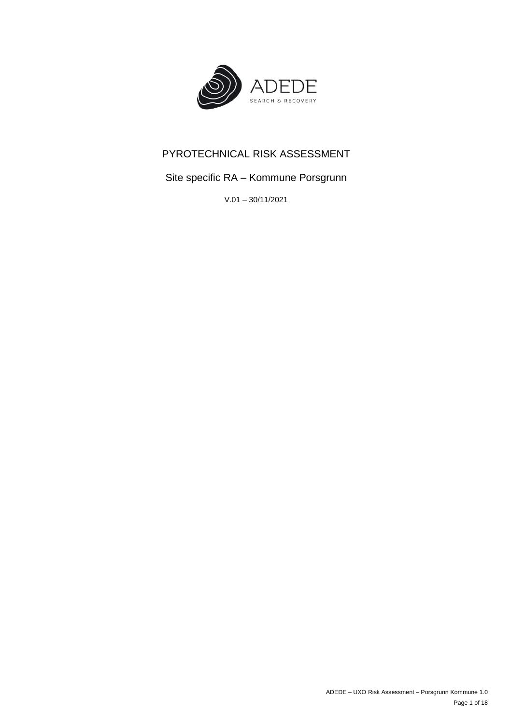

# PYROTECHNICAL RISK ASSESSMENT

# Site specific RA – Kommune Porsgrunn

V.01 – 30/11/2021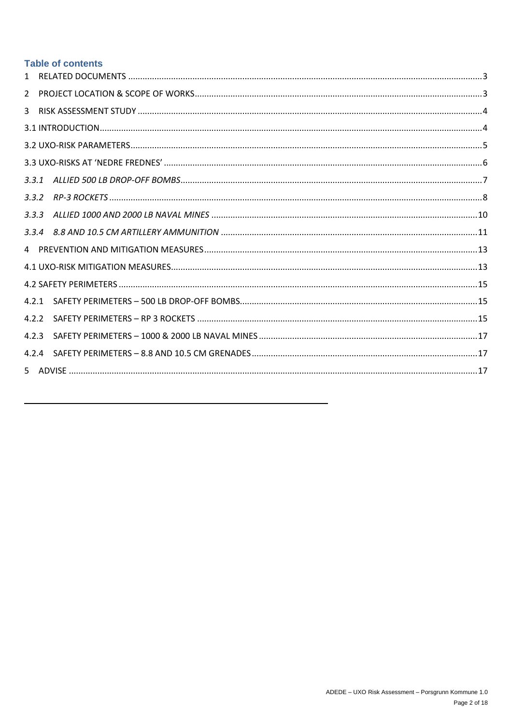## **Table of contents**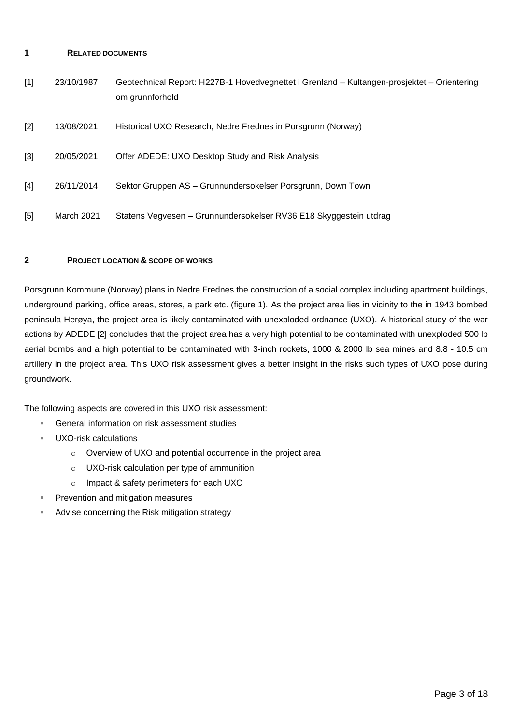#### <span id="page-2-0"></span>**1 RELATED DOCUMENTS**

| [1] | 23/10/1987 | Geotechnical Report: H227B-1 Hovedvegnettet i Grenland - Kultangen-prosjektet - Orientering<br>om grunnforhold |
|-----|------------|----------------------------------------------------------------------------------------------------------------|
| [2] | 13/08/2021 | Historical UXO Research, Nedre Frednes in Porsgrunn (Norway)                                                   |
| [3] | 20/05/2021 | Offer ADEDE: UXO Desktop Study and Risk Analysis                                                               |
| [4] | 26/11/2014 | Sektor Gruppen AS - Grunnundersokelser Porsgrunn, Down Town                                                    |
| [5] | March 2021 | Statens Vegvesen – Grunnundersokelser RV36 E18 Skyggestein utdrag                                              |

## <span id="page-2-1"></span>**2 PROJECT LOCATION & SCOPE OF WORKS**

Porsgrunn Kommune (Norway) plans in Nedre Frednes the construction of a social complex including apartment buildings, underground parking, office areas, stores, a park etc. (figure 1). As the project area lies in vicinity to the in 1943 bombed peninsula Herøya, the project area is likely contaminated with unexploded ordnance (UXO). A historical study of the war actions by ADEDE [2] concludes that the project area has a very high potential to be contaminated with unexploded 500 lb aerial bombs and a high potential to be contaminated with 3-inch rockets, 1000 & 2000 lb sea mines and 8.8 - 10.5 cm artillery in the project area. This UXO risk assessment gives a better insight in the risks such types of UXO pose during groundwork.

The following aspects are covered in this UXO risk assessment:

- General information on risk assessment studies
- UXO-risk calculations
	- o Overview of UXO and potential occurrence in the project area
	- o UXO-risk calculation per type of ammunition
	- o Impact & safety perimeters for each UXO
- Prevention and mitigation measures
- Advise concerning the Risk mitigation strategy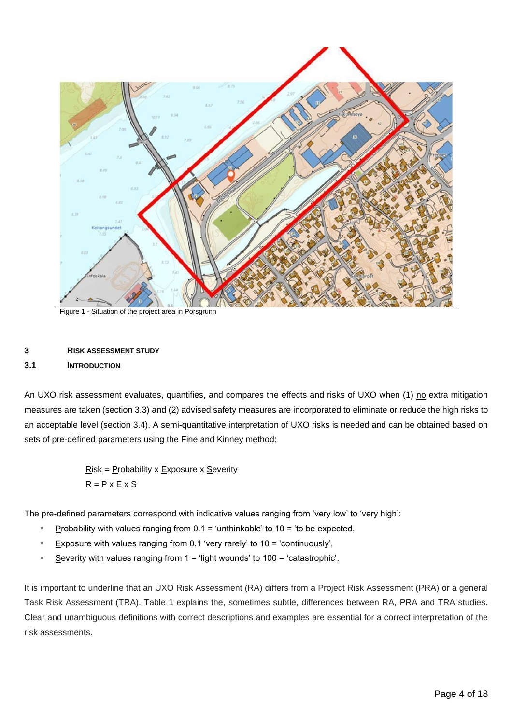

Figure 1 - Situation of the project area in Porsgrunn

### <span id="page-3-0"></span>**3 RISK ASSESSMENT STUDY**

#### <span id="page-3-1"></span>**3.1 INTRODUCTION**

An UXO risk assessment evaluates, quantifies, and compares the effects and risks of UXO when (1) no extra mitigation measures are taken (section 3.3) and (2) advised safety measures are incorporated to eliminate or reduce the high risks to an acceptable level (section 3.4). A semi-quantitative interpretation of UXO risks is needed and can be obtained based on sets of pre-defined parameters using the Fine and Kinney method:

> $Risk = Probability \times Exposure \times Severity$  $R = P$  x E x S

The pre-defined parameters correspond with indicative values ranging from 'very low' to 'very high':

- Probability with values ranging from  $0.1$  = 'unthinkable' to  $10$  = 'to be expected,
- Exposure with values ranging from 0.1 'very rarely' to 10 = 'continuously',
- Severity with values ranging from  $1 =$  'light wounds' to  $100 =$  'catastrophic'.

It is important to underline that an UXO Risk Assessment (RA) differs from a Project Risk Assessment (PRA) or a general Task Risk Assessment (TRA). Table 1 explains the, sometimes subtle, differences between RA, PRA and TRA studies. Clear and unambiguous definitions with correct descriptions and examples are essential for a correct interpretation of the risk assessments.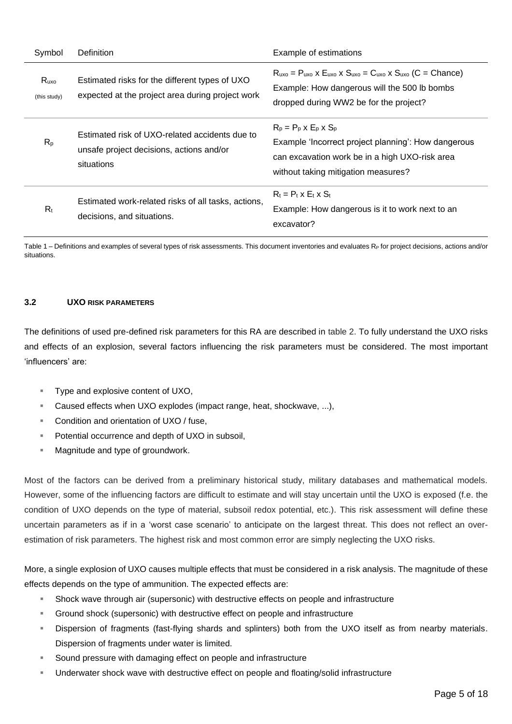| Symbol               | Definition                                                                                               | Example of estimations                                                                                                                                                            |
|----------------------|----------------------------------------------------------------------------------------------------------|-----------------------------------------------------------------------------------------------------------------------------------------------------------------------------------|
| Ruxo<br>(this study) | Estimated risks for the different types of UXO<br>expected at the project area during project work       | $R_{uxo}$ = $P_{uxo}$ x $E_{uxo}$ x $S_{uxo}$ = $C_{uxo}$ x $S_{uxo}$ (C = Chance)<br>Example: How dangerous will the 500 lb bombs<br>dropped during WW2 be for the project?      |
| $R_{p}$              | Estimated risk of UXO-related accidents due to<br>unsafe project decisions, actions and/or<br>situations | $R_p = P_p \times E_p \times S_p$<br>Example 'Incorrect project planning': How dangerous<br>can excavation work be in a high UXO-risk area<br>without taking mitigation measures? |
| $R_t$                | Estimated work-related risks of all tasks, actions,<br>decisions, and situations.                        | $R_t = P_t \times E_t \times S_t$<br>Example: How dangerous is it to work next to an<br>excavator?                                                                                |

Table  $1$  – Definitions and examples of several types of risk assessments. This document inventories and evaluates  $R<sub>P</sub>$  for project decisions, actions and/or situations.

#### <span id="page-4-0"></span>**3.2 UXO RISK PARAMETERS**

The definitions of used pre-defined risk parameters for this RA are described in table 2. To fully understand the UXO risks and effects of an explosion, several factors influencing the risk parameters must be considered. The most important 'influencers' are:

- Type and explosive content of UXO,
- Caused effects when UXO explodes (impact range, heat, shockwave, ...),
- Condition and orientation of UXO / fuse,
- Potential occurrence and depth of UXO in subsoil,
- Magnitude and type of groundwork.

Most of the factors can be derived from a preliminary historical study, military databases and mathematical models. However, some of the influencing factors are difficult to estimate and will stay uncertain until the UXO is exposed (f.e. the condition of UXO depends on the type of material, subsoil redox potential, etc.). This risk assessment will define these uncertain parameters as if in a 'worst case scenario' to anticipate on the largest threat. This does not reflect an overestimation of risk parameters. The highest risk and most common error are simply neglecting the UXO risks.

More, a single explosion of UXO causes multiple effects that must be considered in a risk analysis. The magnitude of these effects depends on the type of ammunition. The expected effects are:

- **EXECT** Shock wave through air (supersonic) with destructive effects on people and infrastructure
- Ground shock (supersonic) with destructive effect on people and infrastructure
- **EXP** Dispersion of fragments (fast-flying shards and splinters) both from the UXO itself as from nearby materials. Dispersion of fragments under water is limited.
- Sound pressure with damaging effect on people and infrastructure
- Underwater shock wave with destructive effect on people and floating/solid infrastructure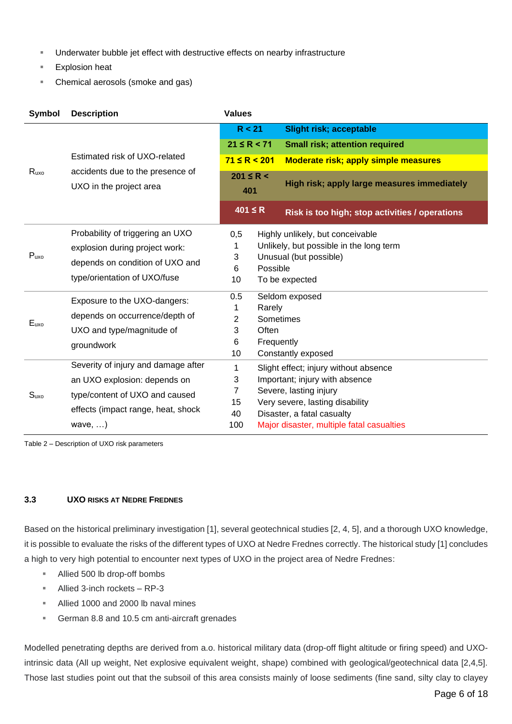- Underwater bubble jet effect with destructive effects on nearby infrastructure
- **Explosion heat**
- Chemical aerosols (smoke and gas)

| Symbol           | <b>Description</b>                  | <b>Values</b>                         |                                                               |
|------------------|-------------------------------------|---------------------------------------|---------------------------------------------------------------|
|                  |                                     | R < 21                                | <b>Slight risk; acceptable</b>                                |
|                  |                                     | $21 \le R < 71$                       | <b>Small risk; attention required</b>                         |
|                  | Estimated risk of UXO-related       | $71 \le R < 201$                      | <b>Moderate risk; apply simple measures</b>                   |
| Ruxo             | accidents due to the presence of    | $201 \le R <$                         |                                                               |
|                  | UXO in the project area             | 401                                   | High risk; apply large measures immediately                   |
|                  |                                     | $401 \leq R$                          | Risk is too high; stop activities / operations                |
|                  | Probability of triggering an UXO    | 0,5                                   | Highly unlikely, but conceivable                              |
|                  | explosion during project work:      | 1                                     | Unlikely, but possible in the long term                       |
| $P_{uxo}$        | depends on condition of UXO and     | 3                                     | Unusual (but possible)                                        |
|                  | type/orientation of UXO/fuse        | Possible<br>6<br>10<br>To be expected |                                                               |
|                  |                                     |                                       |                                                               |
|                  | Exposure to the UXO-dangers:        | 0.5                                   | Seldom exposed<br>Rarely                                      |
|                  | depends on occurrence/depth of      | 1<br>2                                | Sometimes                                                     |
| Euxo             | UXO and type/magnitude of           | 3                                     | Often                                                         |
|                  | groundwork                          | 6                                     | Frequently                                                    |
|                  |                                     | 10                                    | Constantly exposed                                            |
|                  | Severity of injury and damage after | 1                                     | Slight effect; injury without absence                         |
|                  | an UXO explosion: depends on        | 3                                     | Important; injury with absence                                |
| S <sub>uxo</sub> | type/content of UXO and caused      | 7                                     | Severe, lasting injury                                        |
|                  | effects (impact range, heat, shock  | 15<br>40                              | Very severe, lasting disability<br>Disaster, a fatal casualty |
|                  | wave, $\dots$ )                     | 100                                   | Major disaster, multiple fatal casualties                     |

Table 2 – Description of UXO risk parameters

#### <span id="page-5-0"></span>**3.3 UXO RISKS AT NEDRE FREDNES**

Based on the historical preliminary investigation [1], several geotechnical studies [2, 4, 5], and a thorough UXO knowledge, it is possible to evaluate the risks of the different types of UXO at Nedre Frednes correctly. The historical study [1] concludes a high to very high potential to encounter next types of UXO in the project area of Nedre Frednes:

- Allied 500 lb drop-off bombs
- Allied 3-inch rockets RP-3
- Allied 1000 and 2000 lb naval mines
- German 8.8 and 10.5 cm anti-aircraft grenades

Modelled penetrating depths are derived from a.o. historical military data (drop-off flight altitude or firing speed) and UXOintrinsic data (All up weight, Net explosive equivalent weight, shape) combined with geological/geotechnical data [2,4,5]. Those last studies point out that the subsoil of this area consists mainly of loose sediments (fine sand, silty clay to clayey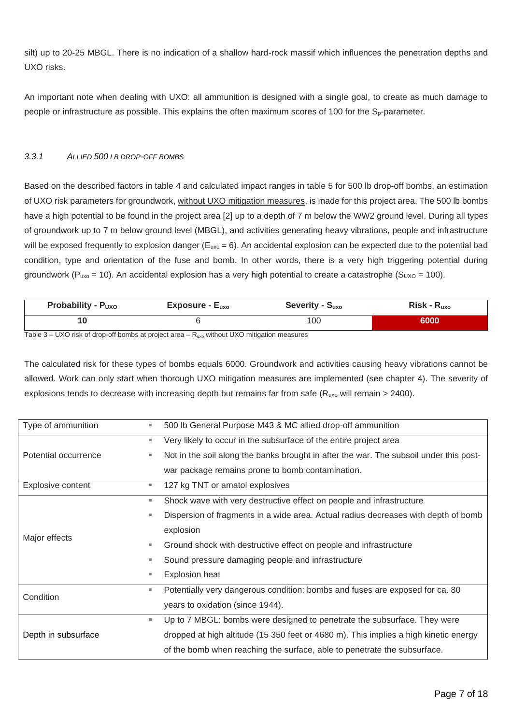silt) up to 20-25 MBGL. There is no indication of a shallow hard-rock massif which influences the penetration depths and UXO risks.

An important note when dealing with UXO: all ammunition is designed with a single goal, to create as much damage to people or infrastructure as possible. This explains the often maximum scores of 100 for the S<sub>p</sub>-parameter.

#### <span id="page-6-0"></span>*3.3.1 ALLIED 500 LB DROP-OFF BOMBS*

Based on the described factors in table 4 and calculated impact ranges in table 5 for 500 lb drop-off bombs, an estimation of UXO risk parameters for groundwork, without UXO mitigation measures, is made for this project area. The 500 lb bombs have a high potential to be found in the project area [2] up to a depth of 7 m below the WW2 ground level. During all types of groundwork up to 7 m below ground level (MBGL), and activities generating heavy vibrations, people and infrastructure will be exposed frequently to explosion danger  $(E_{uxo} = 6)$ . An accidental explosion can be expected due to the potential bad condition, type and orientation of the fuse and bomb. In other words, there is a very high triggering potential during groundwork ( $P_{uxo}$  = 10). An accidental explosion has a very high potential to create a catastrophe ( $S_{UXO}$  = 100).

| <b>Probability - Puxo</b> | $Exposure - Euxo$ | Severity - ?<br>Ouxo | Risk-<br><b>Kuxo</b> |
|---------------------------|-------------------|----------------------|----------------------|
|                           |                   | 100                  | 6000                 |

Table  $3 - UXO$  risk of drop-off bombs at project area  $-$  R<sub>uxo</sub> without UXO mitigation measures

The calculated risk for these types of bombs equals 6000. Groundwork and activities causing heavy vibrations cannot be allowed. Work can only start when thorough UXO mitigation measures are implemented (see chapter 4). The severity of explosions tends to decrease with increasing depth but remains far from safe ( $R_{uxo}$  will remain > 2400).

| Type of ammunition   | ш  | 500 lb General Purpose M43 & MC allied drop-off ammunition                             |
|----------------------|----|----------------------------------------------------------------------------------------|
|                      | ш. | Very likely to occur in the subsurface of the entire project area                      |
| Potential occurrence | ٠  | Not in the soil along the banks brought in after the war. The subsoil under this post- |
|                      |    | war package remains prone to bomb contamination.                                       |
| Explosive content    | ш  | 127 kg TNT or amatol explosives                                                        |
|                      | ш  | Shock wave with very destructive effect on people and infrastructure                   |
|                      | ш  | Dispersion of fragments in a wide area. Actual radius decreases with depth of bomb     |
| Major effects        |    | explosion                                                                              |
|                      | ш  | Ground shock with destructive effect on people and infrastructure                      |
|                      | ш  | Sound pressure damaging people and infrastructure                                      |
|                      | ш  | <b>Explosion heat</b>                                                                  |
| Condition            | ٠  | Potentially very dangerous condition: bombs and fuses are exposed for ca. 80           |
|                      |    | years to oxidation (since 1944).                                                       |
|                      | ш. | Up to 7 MBGL: bombs were designed to penetrate the subsurface. They were               |
| Depth in subsurface  |    | dropped at high altitude (15 350 feet or 4680 m). This implies a high kinetic energy   |
|                      |    | of the bomb when reaching the surface, able to penetrate the subsurface.               |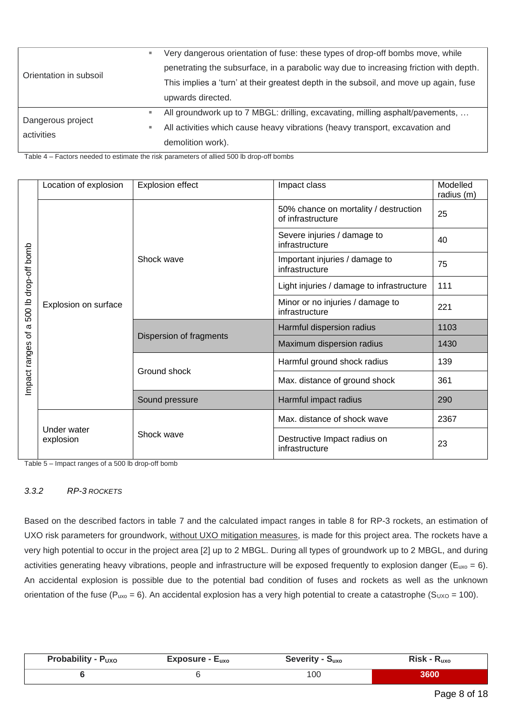|                        | ш | Very dangerous orientation of fuse: these types of drop-off bombs move, while         |  |  |
|------------------------|---|---------------------------------------------------------------------------------------|--|--|
| Orientation in subsoil |   | penetrating the subsurface, in a parabolic way due to increasing friction with depth. |  |  |
|                        |   | This implies a 'turn' at their greatest depth in the subsoil, and move up again, fuse |  |  |
|                        |   | upwards directed.                                                                     |  |  |
|                        |   | All groundwork up to 7 MBGL: drilling, excavating, milling asphalt/pavements,         |  |  |
| Dangerous project      |   | All activities which cause heavy vibrations (heavy transport, excavation and          |  |  |
| activities             |   | demolition work).                                                                     |  |  |

Table 4 – Factors needed to estimate the risk parameters of allied 500 lb drop-off bombs

|                                                        | Location of explosion    | <b>Explosion effect</b>                 | Impact class                                               | Modelled<br>radius (m) |
|--------------------------------------------------------|--------------------------|-----------------------------------------|------------------------------------------------------------|------------------------|
|                                                        |                          |                                         | 50% chance on mortality / destruction<br>of infrastructure | 25                     |
|                                                        |                          |                                         | Severe injuries / damage to<br>infrastructure              | 40                     |
|                                                        |                          | Shock wave                              | Important injuries / damage to<br>infrastructure           | 75                     |
|                                                        |                          |                                         | Light injuries / damage to infrastructure                  | 111                    |
| 500 lb drop-off bomb<br>$\sigma$<br>đ<br>Impact ranges | Explosion on surface     |                                         | Minor or no injuries / damage to<br>infrastructure         | 221                    |
|                                                        |                          | Dispersion of fragments<br>Ground shock | Harmful dispersion radius                                  | 1103                   |
|                                                        |                          |                                         | Maximum dispersion radius                                  | 1430                   |
|                                                        |                          |                                         | Harmful ground shock radius                                | 139                    |
|                                                        |                          |                                         | Max. distance of ground shock                              | 361                    |
|                                                        |                          | Sound pressure                          | Harmful impact radius                                      | 290                    |
|                                                        |                          |                                         | Max. distance of shock wave                                | 2367                   |
|                                                        | Under water<br>explosion | Shock wave                              | Destructive Impact radius on<br>infrastructure             | 23                     |

Table 5 – Impact ranges of a 500 lb drop-off bomb

#### <span id="page-7-0"></span>*3.3.2 RP-3 ROCKETS*

Based on the described factors in table 7 and the calculated impact ranges in table 8 for RP-3 rockets, an estimation of UXO risk parameters for groundwork, without UXO mitigation measures, is made for this project area. The rockets have a very high potential to occur in the project area [2] up to 2 MBGL. During all types of groundwork up to 2 MBGL, and during activities generating heavy vibrations, people and infrastructure will be exposed frequently to explosion danger ( $E_{uxo} = 6$ ). An accidental explosion is possible due to the potential bad condition of fuses and rockets as well as the unknown orientation of the fuse ( $P_{uxo} = 6$ ). An accidental explosion has a very high potential to create a catastrophe ( $S_{UXO} = 100$ ).

| <b>Probability -</b> | <b>Exposure -</b> | Severity - | <b>Risk</b> |
|----------------------|-------------------|------------|-------------|
| <b>PUXO</b>          | $E_{uxo}$         | Puxo       | ι∿αχο       |
|                      |                   | 100        | 8600        |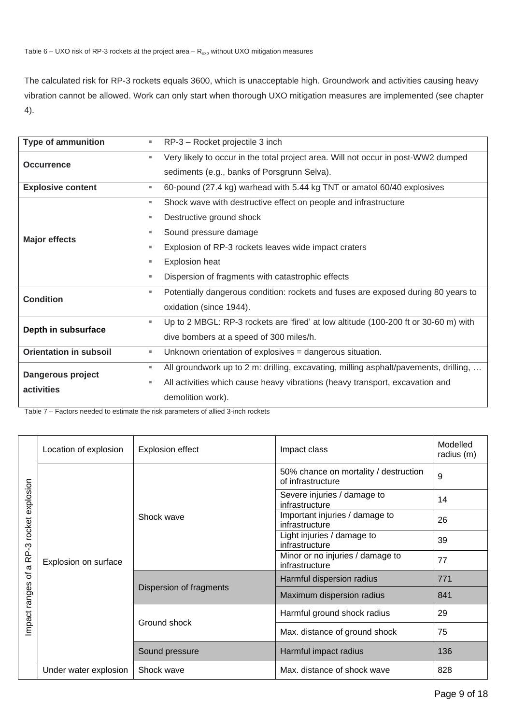The calculated risk for RP-3 rockets equals 3600, which is unacceptable high. Groundwork and activities causing heavy vibration cannot be allowed. Work can only start when thorough UXO mitigation measures are implemented (see chapter 4).

| <b>Type of ammunition</b>     | ш  | RP-3 - Rocket projectile 3 inch                                                      |  |  |
|-------------------------------|----|--------------------------------------------------------------------------------------|--|--|
| <b>Occurrence</b>             | ш  | Very likely to occur in the total project area. Will not occur in post-WW2 dumped    |  |  |
|                               |    | sediments (e.g., banks of Porsgrunn Selva).                                          |  |  |
| <b>Explosive content</b>      | ш  | 60-pound (27.4 kg) warhead with 5.44 kg TNT or amatol 60/40 explosives               |  |  |
|                               | ш  | Shock wave with destructive effect on people and infrastructure                      |  |  |
|                               | ш  | Destructive ground shock                                                             |  |  |
|                               | ш  | Sound pressure damage                                                                |  |  |
| <b>Major effects</b>          | ш  | Explosion of RP-3 rockets leaves wide impact craters                                 |  |  |
|                               | ш  | <b>Explosion heat</b>                                                                |  |  |
|                               | ш  | Dispersion of fragments with catastrophic effects                                    |  |  |
| <b>Condition</b>              | ш  | Potentially dangerous condition: rockets and fuses are exposed during 80 years to    |  |  |
|                               |    | oxidation (since 1944).                                                              |  |  |
|                               | u, | Up to 2 MBGL: RP-3 rockets are 'fired' at low altitude (100-200 ft or 30-60 m) with  |  |  |
| Depth in subsurface           |    | dive bombers at a speed of 300 miles/h.                                              |  |  |
| <b>Orientation in subsoil</b> | ш  | Unknown orientation of explosives = dangerous situation.                             |  |  |
| Dangerous project             | ш  | All groundwork up to 2 m: drilling, excavating, milling asphalt/pavements, drilling, |  |  |
|                               | ш  | All activities which cause heavy vibrations (heavy transport, excavation and         |  |  |
| activities                    |    | demolition work).                                                                    |  |  |

Table 7 – Factors needed to estimate the risk parameters of allied 3-inch rockets

| explosion                                   | Location of explosion | <b>Explosion effect</b>                 | Impact class                                               | Modelled<br>radius (m) |
|---------------------------------------------|-----------------------|-----------------------------------------|------------------------------------------------------------|------------------------|
|                                             |                       | Shock wave                              | 50% chance on mortality / destruction<br>of infrastructure | 9                      |
|                                             | Explosion on surface  |                                         | Severe injuries / damage to<br>infrastructure              | 14                     |
| rocket                                      |                       |                                         | Important injuries / damage to<br>infrastructure           | 26                     |
|                                             |                       |                                         | Light injuries / damage to<br>infrastructure               | 39                     |
| RP-3<br>$\sigma$<br>৳<br>ranges<br>Impact I |                       |                                         | Minor or no injuries / damage to<br>infrastructure         | 77                     |
|                                             |                       | Dispersion of fragments<br>Ground shock | Harmful dispersion radius                                  | 771                    |
|                                             |                       |                                         | Maximum dispersion radius                                  | 841                    |
|                                             |                       |                                         | Harmful ground shock radius                                | 29                     |
|                                             |                       |                                         | Max. distance of ground shock                              | 75                     |
|                                             |                       | Sound pressure                          | Harmful impact radius                                      | 136                    |
|                                             | Under water explosion | Shock wave                              | Max. distance of shock wave                                | 828                    |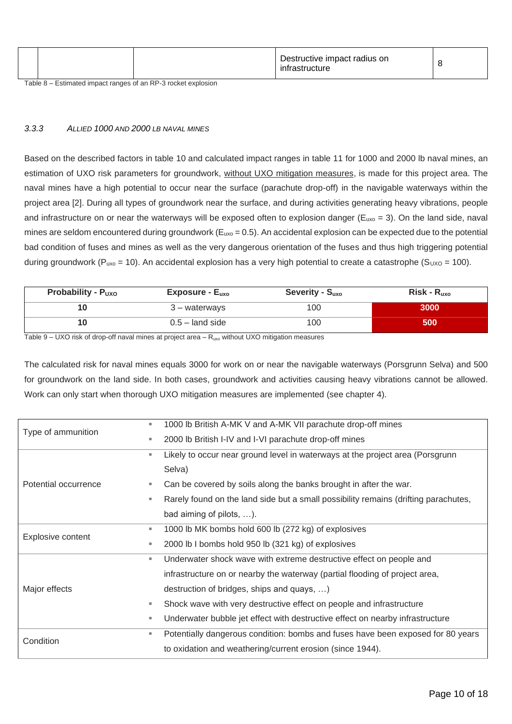|  | Destructive impact radius on<br>*rastructure |  |
|--|----------------------------------------------|--|
|  |                                              |  |

Table 8 – Estimated impact ranges of an RP-3 rocket explosion

#### <span id="page-9-0"></span>*3.3.3 ALLIED 1000 AND 2000 LB NAVAL MINES*

Based on the described factors in table 10 and calculated impact ranges in table 11 for 1000 and 2000 lb naval mines, an estimation of UXO risk parameters for groundwork, without UXO mitigation measures, is made for this project area. The naval mines have a high potential to occur near the surface (parachute drop-off) in the navigable waterways within the project area [2]. During all types of groundwork near the surface, and during activities generating heavy vibrations, people and infrastructure on or near the waterways will be exposed often to explosion danger ( $E_{uxo} = 3$ ). On the land side, naval mines are seldom encountered during groundwork ( $E_{uxo} = 0.5$ ). An accidental explosion can be expected due to the potential bad condition of fuses and mines as well as the very dangerous orientation of the fuses and thus high triggering potential during groundwork (P<sub>uxo</sub> = 10). An accidental explosion has a very high potential to create a catastrophe (S<sub>UXO</sub> = 100).

| Probability - $P_{UXO}$ | Exposure - $E_{\text{uxo}}$ | Severity - $S_{uxo}$ | $Risk - R_{uxo}$ |
|-------------------------|-----------------------------|----------------------|------------------|
|                         | 3 – waterways               | 100                  | 3000             |
|                         | $0.5 -$ land side           | 100                  | 500              |

Table 9 – UXO risk of drop-off naval mines at project area – Ruxo without UXO mitigation measures

The calculated risk for naval mines equals 3000 for work on or near the navigable waterways (Porsgrunn Selva) and 500 for groundwork on the land side. In both cases, groundwork and activities causing heavy vibrations cannot be allowed. Work can only start when thorough UXO mitigation measures are implemented (see chapter 4).

| Type of ammunition   | ٠  | 1000 lb British A-MK V and A-MK VII parachute drop-off mines                        |
|----------------------|----|-------------------------------------------------------------------------------------|
|                      | ш  | 2000 lb British I-IV and I-VI parachute drop-off mines                              |
|                      | ш  | Likely to occur near ground level in waterways at the project area (Porsgrunn       |
|                      |    | Selva)                                                                              |
| Potential occurrence | ш  | Can be covered by soils along the banks brought in after the war.                   |
|                      | ш  | Rarely found on the land side but a small possibility remains (drifting parachutes, |
|                      |    | bad aiming of pilots, ).                                                            |
| Explosive content    | ш. | 1000 lb MK bombs hold 600 lb (272 kg) of explosives                                 |
|                      | ٠  | 2000 lb I bombs hold 950 lb (321 kg) of explosives                                  |
|                      | ш  | Underwater shock wave with extreme destructive effect on people and                 |
|                      |    | infrastructure on or nearby the waterway (partial flooding of project area,         |
| Major effects        |    | destruction of bridges, ships and quays, )                                          |
|                      | ٠  | Shock wave with very destructive effect on people and infrastructure                |
|                      | ш  | Underwater bubble jet effect with destructive effect on nearby infrastructure       |
| Condition            | ш  | Potentially dangerous condition: bombs and fuses have been exposed for 80 years     |
|                      |    | to oxidation and weathering/current erosion (since 1944).                           |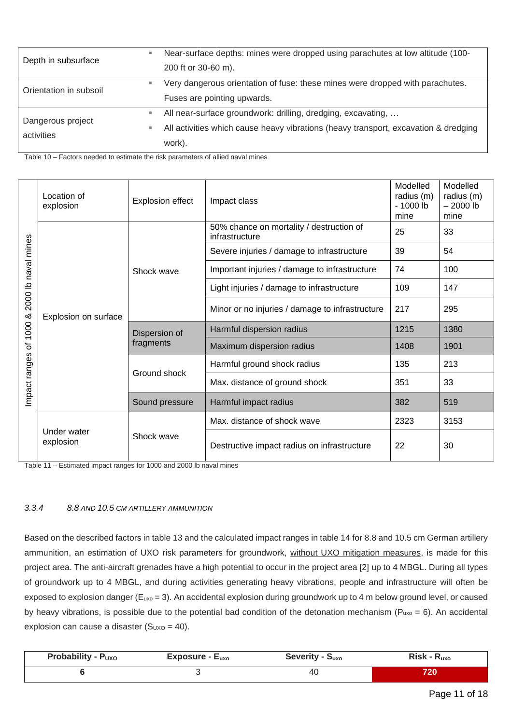| Depth in subsurface             |   | Near-surface depths: mines were dropped using parachutes at low altitude (100-      |
|---------------------------------|---|-------------------------------------------------------------------------------------|
|                                 |   | 200 ft or 30-60 m).                                                                 |
| Orientation in subsoil          |   | Very dangerous orientation of fuse: these mines were dropped with parachutes.       |
|                                 |   | Fuses are pointing upwards.                                                         |
|                                 | ш | All near-surface groundwork: drilling, dredging, excavating,                        |
| Dangerous project<br>activities |   | All activities which cause heavy vibrations (heavy transport, excavation & dredging |
|                                 |   | work).                                                                              |

Table 10 – Factors needed to estimate the risk parameters of allied naval mines

| naval mines  | Location of<br>explosion | <b>Explosion effect</b> | Impact class                                               | Modelled<br>radius (m)<br>$-1000$ lb<br>mine | Modelled<br>radius (m)<br>$-2000$ lb<br>mine |
|--------------|--------------------------|-------------------------|------------------------------------------------------------|----------------------------------------------|----------------------------------------------|
|              |                          |                         | 50% chance on mortality / destruction of<br>infrastructure | 25                                           | 33                                           |
|              |                          |                         | Severe injuries / damage to infrastructure                 | 39                                           | 54                                           |
|              |                          | Shock wave              | Important injuries / damage to infrastructure              | 74                                           | 100                                          |
|              | Explosion on surface     |                         | Light injuries / damage to infrastructure                  | 109                                          | 147                                          |
| 2000 lb      |                          |                         | Minor or no injuries / damage to infrastructure            | 217                                          | 295                                          |
| 1000 &       |                          | Dispersion of           | Harmful dispersion radius                                  | 1215                                         | 1380                                         |
| ৳            |                          | fragments               | Maximum dispersion radius                                  | 1408                                         | 1901                                         |
|              |                          | Ground shock            | Harmful ground shock radius                                | 135                                          | 213                                          |
| mpact ranges |                          |                         | Max. distance of ground shock                              | 351                                          | 33                                           |
|              |                          | Sound pressure          | Harmful impact radius                                      | 382                                          | 519                                          |
|              |                          |                         | Max. distance of shock wave                                | 2323                                         | 3153                                         |
|              | Under water<br>explosion | Shock wave              | Destructive impact radius on infrastructure                | 22                                           | 30                                           |

Table 11 – Estimated impact ranges for 1000 and 2000 lb naval mines

#### <span id="page-10-0"></span>*3.3.4 8.8 AND 10.5 CM ARTILLERY AMMUNITION*

Based on the described factors in table 13 and the calculated impact ranges in table 14 for 8.8 and 10.5 cm German artillery ammunition, an estimation of UXO risk parameters for groundwork, without UXO mitigation measures, is made for this project area. The anti-aircraft grenades have a high potential to occur in the project area [2] up to 4 MBGL. During all types of groundwork up to 4 MBGL, and during activities generating heavy vibrations, people and infrastructure will often be exposed to explosion danger (Euxo = 3). An accidental explosion during groundwork up to 4 m below ground level, or caused by heavy vibrations, is possible due to the potential bad condition of the detonation mechanism ( $P_{uxo} = 6$ ). An accidental explosion can cause a disaster  $(S<sub>UXO</sub> = 40)$ .

| <b>Probability - Puxo</b> | $Exposure - Euxo$ | <b>Severity - Suxo</b> | $Risk - R_{uxo}$ |
|---------------------------|-------------------|------------------------|------------------|
|                           |                   | 40                     | 720              |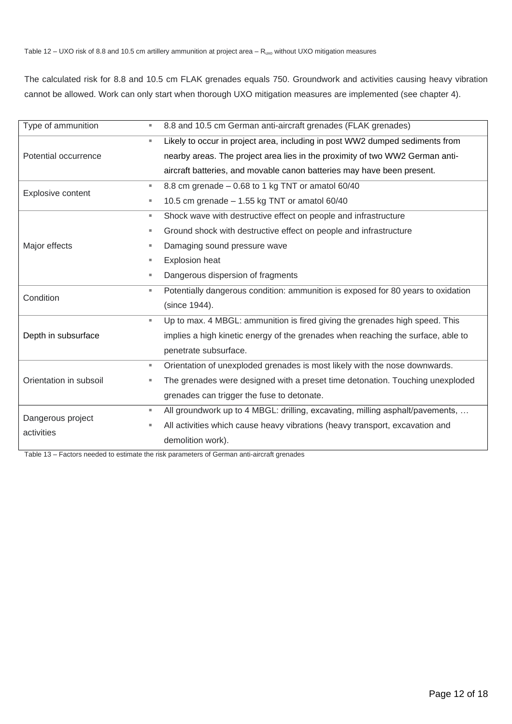The calculated risk for 8.8 and 10.5 cm FLAK grenades equals 750. Groundwork and activities causing heavy vibration cannot be allowed. Work can only start when thorough UXO mitigation measures are implemented (see chapter 4).

| Type of ammunition     | ш  | 8.8 and 10.5 cm German anti-aircraft grenades (FLAK grenades)                    |
|------------------------|----|----------------------------------------------------------------------------------|
|                        | u, | Likely to occur in project area, including in post WW2 dumped sediments from     |
| Potential occurrence   |    | nearby areas. The project area lies in the proximity of two WW2 German anti-     |
|                        |    | aircraft batteries, and movable canon batteries may have been present.           |
| Explosive content      | u, | 8.8 cm grenade - 0.68 to 1 kg TNT or amatol 60/40                                |
|                        | ш  | 10.5 cm grenade - 1.55 kg TNT or amatol 60/40                                    |
|                        | ш  | Shock wave with destructive effect on people and infrastructure                  |
|                        | ш  | Ground shock with destructive effect on people and infrastructure                |
| Major effects          | ш  | Damaging sound pressure wave                                                     |
|                        | ш  | Explosion heat                                                                   |
|                        | ш  | Dangerous dispersion of fragments                                                |
| Condition              | ш  | Potentially dangerous condition: ammunition is exposed for 80 years to oxidation |
|                        |    | (since 1944).                                                                    |
|                        | u, | Up to max. 4 MBGL: ammunition is fired giving the grenades high speed. This      |
| Depth in subsurface    |    | implies a high kinetic energy of the grenades when reaching the surface, able to |
|                        |    | penetrate subsurface.                                                            |
|                        | u, | Orientation of unexploded grenades is most likely with the nose downwards.       |
| Orientation in subsoil | ш  | The grenades were designed with a preset time detonation. Touching unexploded    |
|                        |    | grenades can trigger the fuse to detonate.                                       |
| Dangerous project      | ш  | All groundwork up to 4 MBGL: drilling, excavating, milling asphalt/pavements,    |
|                        | ш  | All activities which cause heavy vibrations (heavy transport, excavation and     |
| activities             |    | demolition work).                                                                |

Table 13 – Factors needed to estimate the risk parameters of German anti-aircraft grenades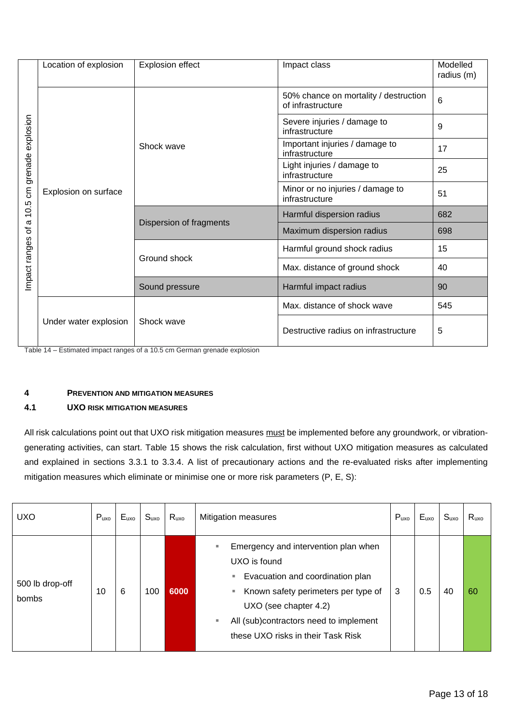|                   | Location of explosion | <b>Explosion effect</b> | Impact class                                               | Modelled<br>radius (m) |
|-------------------|-----------------------|-------------------------|------------------------------------------------------------|------------------------|
| grenade explosion |                       |                         | 50% chance on mortality / destruction<br>of infrastructure | 6                      |
|                   |                       |                         | Severe injuries / damage to<br>infrastructure              | 9                      |
|                   |                       | Shock wave              | Important injuries / damage to<br>infrastructure           | 17                     |
|                   |                       |                         | Light injuries / damage to<br>infrastructure               | 25                     |
| $\epsilon$        | Explosion on surface  |                         | Minor or no injuries / damage to<br>infrastructure         | 51                     |
| 10.5<br>ω         |                       |                         | Harmful dispersion radius                                  | 682                    |
| ৳                 |                       | Dispersion of fragments | Maximum dispersion radius                                  | 698                    |
| Impact ranges     |                       | Ground shock            | Harmful ground shock radius                                | 15                     |
|                   |                       |                         | Max. distance of ground shock                              | 40                     |
|                   |                       | Sound pressure          | Harmful impact radius                                      | 90                     |
|                   |                       |                         | Max. distance of shock wave                                | 545                    |
|                   | Under water explosion | Shock wave              | Destructive radius on infrastructure                       | 5                      |

Table 14 – Estimated impact ranges of a 10.5 cm German grenade explosion

## <span id="page-12-0"></span>**4 PREVENTION AND MITIGATION MEASURES**

#### <span id="page-12-1"></span>**4.1 UXO RISK MITIGATION MEASURES**

All risk calculations point out that UXO risk mitigation measures must be implemented before any groundwork, or vibrationgenerating activities, can start. Table 15 shows the risk calculation, first without UXO mitigation measures as calculated and explained in sections 3.3.1 to 3.3.4. A list of precautionary actions and the re-evaluated risks after implementing mitigation measures which eliminate or minimise one or more risk parameters (P, E, S):

| <b>UXO</b>               | $P_{uxo}$ | $E_{uxo}$ | S <sub>uxo</sub> | $R_{uxo}$ | Mitigation measures                                                                                                                                                                                                                             | $P_{uxo}$ | $E_{uxo}$ | S <sub>uxo</sub> | $R_{uxo}$ |
|--------------------------|-----------|-----------|------------------|-----------|-------------------------------------------------------------------------------------------------------------------------------------------------------------------------------------------------------------------------------------------------|-----------|-----------|------------------|-----------|
| 500 lb drop-off<br>bombs | 10        | 6         | 100              | 6000      | Emergency and intervention plan when<br>UXO is found<br>Evacuation and coordination plan<br>ш<br>■ Known safety perimeters per type of<br>UXO (see chapter 4.2)<br>All (sub)contractors need to implement<br>these UXO risks in their Task Risk | 3         | 0.5       | 40               | 60        |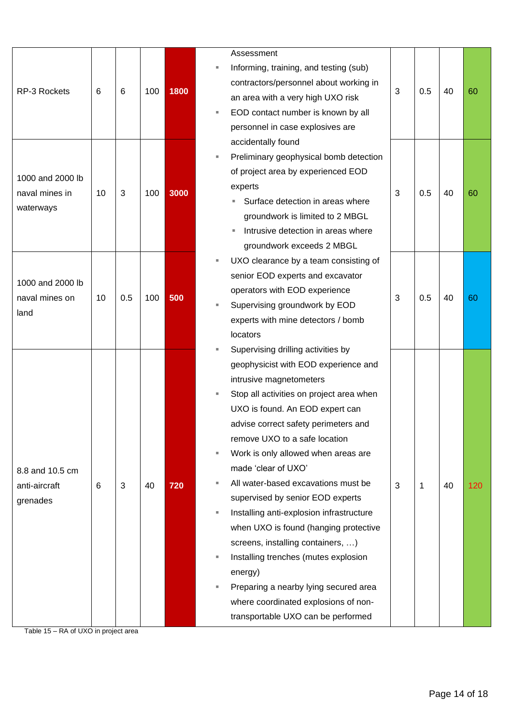|                                            |    |     |     |      |                                          | Assessment                               |   |             |    |     |
|--------------------------------------------|----|-----|-----|------|------------------------------------------|------------------------------------------|---|-------------|----|-----|
|                                            |    |     | 100 |      |                                          | Informing, training, and testing (sub)   |   |             |    |     |
|                                            |    |     |     |      |                                          | contractors/personnel about working in   |   | 0.5         | 40 |     |
| RP-3 Rockets                               | 6  | 6   |     | 1800 |                                          | an area with a very high UXO risk        | 3 |             |    | 60  |
|                                            |    |     |     |      |                                          | EOD contact number is known by all       |   |             |    |     |
|                                            |    |     |     |      |                                          | personnel in case explosives are         |   |             |    |     |
|                                            |    |     |     |      |                                          | accidentally found                       |   |             |    |     |
|                                            |    |     |     |      |                                          | Preliminary geophysical bomb detection   |   |             |    |     |
| 1000 and 2000 lb                           |    |     |     |      |                                          | of project area by experienced EOD       |   |             |    |     |
| naval mines in                             | 10 | 3   | 100 | 3000 |                                          | experts                                  |   | 0.5         | 40 | 60  |
|                                            |    |     |     |      |                                          | Surface detection in areas where         | 3 |             |    |     |
| waterways                                  |    |     |     |      |                                          | groundwork is limited to 2 MBGL          |   |             |    |     |
|                                            |    |     |     |      |                                          | Intrusive detection in areas where<br>ш  |   |             |    |     |
|                                            |    |     |     |      |                                          | groundwork exceeds 2 MBGL                |   |             |    |     |
|                                            |    |     |     |      |                                          | UXO clearance by a team consisting of    |   |             |    |     |
|                                            |    |     |     |      |                                          | senior EOD experts and excavator         |   |             |    |     |
| 1000 and 2000 lb<br>naval mines on<br>land | 10 | 0.5 | 100 | 500  |                                          | operators with EOD experience            |   |             |    |     |
|                                            |    |     |     |      |                                          | Supervising groundwork by EOD            | 3 | 0.5         | 40 | 60  |
|                                            |    |     |     |      |                                          | experts with mine detectors / bomb       |   |             |    |     |
|                                            |    |     |     |      | locators                                 |                                          |   |             |    |     |
|                                            |    |     |     |      |                                          | Supervising drilling activities by       |   |             |    |     |
|                                            |    |     |     |      |                                          | geophysicist with EOD experience and     |   |             |    |     |
|                                            |    |     |     |      |                                          | intrusive magnetometers                  |   |             |    |     |
|                                            |    |     |     |      | Stop all activities on project area when |                                          |   |             |    |     |
|                                            |    |     |     |      |                                          | UXO is found. An EOD expert can          |   |             |    |     |
|                                            |    |     |     |      |                                          | advise correct safety perimeters and     |   |             |    |     |
|                                            |    |     |     |      |                                          | remove UXO to a safe location            |   |             |    |     |
|                                            |    |     |     |      | Work is only allowed when areas are      |                                          |   |             |    |     |
| 8.8 and 10.5 cm                            |    |     |     |      |                                          | made 'clear of UXO'                      |   |             |    |     |
| anti-aircraft                              | 6  | 3   | 40  | 720  |                                          | All water-based excavations must be      | 3 | $\mathbf 1$ | 40 | 120 |
| grenades                                   |    |     |     |      |                                          | supervised by senior EOD experts         |   |             |    |     |
|                                            |    |     |     |      |                                          | Installing anti-explosion infrastructure |   |             |    |     |
|                                            |    |     |     |      |                                          | when UXO is found (hanging protective    |   |             |    |     |
|                                            |    |     |     |      |                                          | screens, installing containers, )        |   |             |    |     |
|                                            |    |     |     |      |                                          | Installing trenches (mutes explosion     |   |             |    |     |
|                                            |    |     |     |      |                                          | energy)                                  |   |             |    |     |
|                                            |    |     |     |      |                                          | Preparing a nearby lying secured area    |   |             |    |     |
|                                            |    |     |     |      |                                          | where coordinated explosions of non-     |   |             |    |     |
|                                            |    |     |     |      |                                          | transportable UXO can be performed       |   |             |    |     |
| Table 15 - RA of UXO in project area       |    |     |     |      |                                          |                                          |   |             |    |     |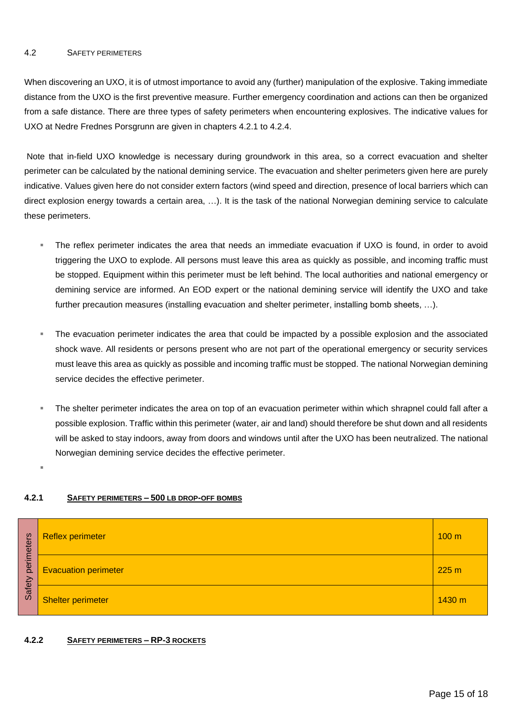#### <span id="page-14-0"></span>4.2 SAFETY PERIMETERS

When discovering an UXO, it is of utmost importance to avoid any (further) manipulation of the explosive. Taking immediate distance from the UXO is the first preventive measure. Further emergency coordination and actions can then be organized from a safe distance. There are three types of safety perimeters when encountering explosives. The indicative values for UXO at Nedre Frednes Porsgrunn are given in chapters 4.2.1 to 4.2.4.

Note that in-field UXO knowledge is necessary during groundwork in this area, so a correct evacuation and shelter perimeter can be calculated by the national demining service. The evacuation and shelter perimeters given here are purely indicative. Values given here do not consider extern factors (wind speed and direction, presence of local barriers which can direct explosion energy towards a certain area, …). It is the task of the national Norwegian demining service to calculate these perimeters.

- The reflex perimeter indicates the area that needs an immediate evacuation if UXO is found, in order to avoid triggering the UXO to explode. All persons must leave this area as quickly as possible, and incoming traffic must be stopped. Equipment within this perimeter must be left behind. The local authorities and national emergency or demining service are informed. An EOD expert or the national demining service will identify the UXO and take further precaution measures (installing evacuation and shelter perimeter, installing bomb sheets, ...).
- The evacuation perimeter indicates the area that could be impacted by a possible explosion and the associated shock wave. All residents or persons present who are not part of the operational emergency or security services must leave this area as quickly as possible and incoming traffic must be stopped. The national Norwegian demining service decides the effective perimeter.
- The shelter perimeter indicates the area on top of an evacuation perimeter within which shrapnel could fall after a possible explosion. Traffic within this perimeter (water, air and land) should therefore be shut down and all residents will be asked to stay indoors, away from doors and windows until after the UXO has been neutralized. The national Norwegian demining service decides the effective perimeter.

▪

#### <span id="page-14-1"></span>**4.2.1 SAFETY PERIMETERS – 500 LB DROP-OFF BOMBS**

| eters  | <b>Reflex perimeter</b><br>100 <sub>m</sub> |        |  |  |  |  |
|--------|---------------------------------------------|--------|--|--|--|--|
| perime | <b>Evacuation perimeter</b><br>225 m        |        |  |  |  |  |
| Safety | <b>Shelter perimeter</b>                    | 1430 m |  |  |  |  |

#### <span id="page-14-2"></span>**4.2.2 SAFETY PERIMETERS – RP-3 ROCKETS**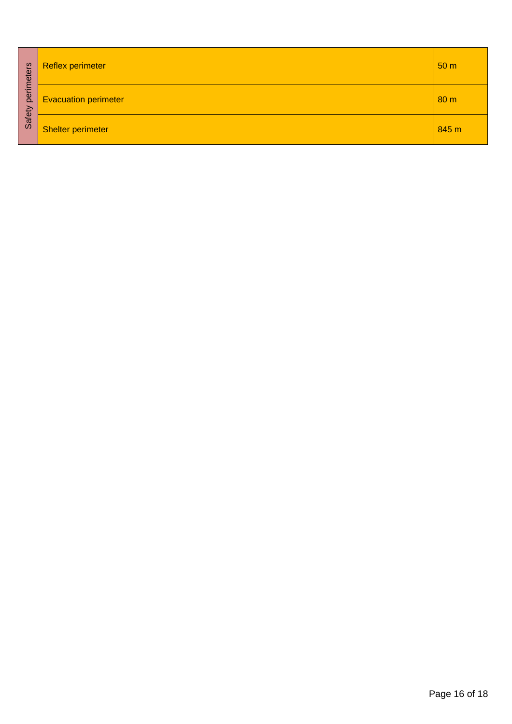| perimeters | <b>Reflex perimeter</b><br>50 <sub>m</sub>     |       |  |  |  |  |  |  |  |
|------------|------------------------------------------------|-------|--|--|--|--|--|--|--|
|            | <b>Evacuation perimeter</b><br>80 <sub>m</sub> |       |  |  |  |  |  |  |  |
| Safety     | <b>Shelter perimeter</b>                       | 845 m |  |  |  |  |  |  |  |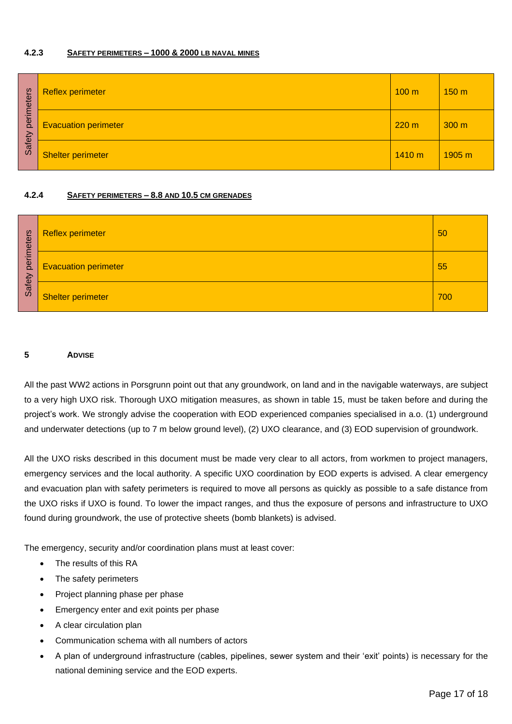#### <span id="page-16-0"></span>**4.2.3 SAFETY PERIMETERS – 1000 & 2000 LB NAVAL MINES**

| eters  | <b>Reflex perimeter</b>     | 100 <sub>m</sub> | 150 <sub>m</sub> |
|--------|-----------------------------|------------------|------------------|
| perime | <b>Evacuation perimeter</b> | 220 m            | 300 <sub>m</sub> |
| Safety | <b>Shelter perimeter</b>    | 1410 m           | 1905 m           |

#### <span id="page-16-1"></span>**4.2.4 SAFETY PERIMETERS – 8.8 AND 10.5 CM GRENADES**

| eters<br>perim<br>Safety | <b>Reflex perimeter</b>     | 50  |
|--------------------------|-----------------------------|-----|
|                          | <b>Evacuation perimeter</b> | 55  |
|                          | Shelter perimeter           | 700 |

#### <span id="page-16-2"></span>**5 ADVISE**

All the past WW2 actions in Porsgrunn point out that any groundwork, on land and in the navigable waterways, are subject to a very high UXO risk. Thorough UXO mitigation measures, as shown in table 15, must be taken before and during the project's work. We strongly advise the cooperation with EOD experienced companies specialised in a.o. (1) underground and underwater detections (up to 7 m below ground level), (2) UXO clearance, and (3) EOD supervision of groundwork.

All the UXO risks described in this document must be made very clear to all actors, from workmen to project managers, emergency services and the local authority. A specific UXO coordination by EOD experts is advised. A clear emergency and evacuation plan with safety perimeters is required to move all persons as quickly as possible to a safe distance from the UXO risks if UXO is found. To lower the impact ranges, and thus the exposure of persons and infrastructure to UXO found during groundwork, the use of protective sheets (bomb blankets) is advised.

The emergency, security and/or coordination plans must at least cover:

- The results of this RA
- The safety perimeters
- Project planning phase per phase
- Emergency enter and exit points per phase
- A clear circulation plan
- Communication schema with all numbers of actors
- A plan of underground infrastructure (cables, pipelines, sewer system and their 'exit' points) is necessary for the national demining service and the EOD experts.